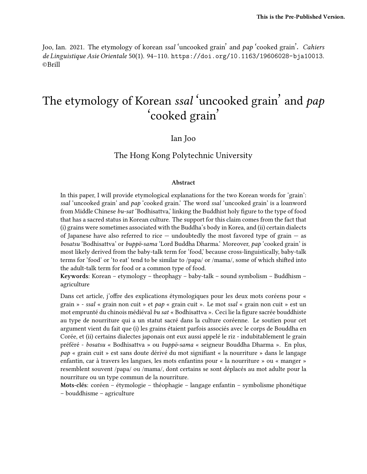Joo, Ian. 2021. The etymology of korean *ssal* 'uncooked grain' and *pap* 'cooked grain'. *Cahiers de Linguistique Asie Orientale* 50(1). 94–110. https://doi.org/10.1163/19606028-bja10013. ©Brill

# The etymology of Korean *ssal* 'uncooked grain' and *pap* 'cooked grain'

#### Ian Joo

#### The Hong Kong Polytechnic University

#### **Abstract**

In this paper, I will provide etymological explanations for the two Korean words for 'grain': *ssal* 'uncooked grain' and *pap* 'cooked grain.' The word *ssal* 'uncooked grain' is a loanword from Middle Chinese *bu-sat* 'Bodhisattva,' linking the Buddhist holy figure to the type of food that has a sacred status in Korean culture. The support for this claim comes from the fact that (i) grains were sometimes associated with the Buddha's body in Korea, and (ii) certain dialects of Japanese have also referred to rice  $-$  undoubtedly the most favored type of grain  $-$  as *bosatsu* 'Bodhisattva' or *buppō-sama* 'Lord Buddha Dharma.' Moreover, *pap* 'cooked grain' is most likely derived from the baby-talk term for 'food,' because cross-linguistically, baby-talk terms for 'food' or 'to eat' tend to be similar to /papa/ or /mama/, some of which shifted into the adult-talk term for food or a common type of food.

**Keywords:** Korean – etymology – theophagy – baby-talk – sound symbolism – Buddhism – agriculture

Dans cet article, j'offre des explications étymologiques pour les deux mots coréens pour « grain » - *ssal* « grain non cuit » et *pap* « grain cuit ». Le mot *ssal* « grain non cuit » est un mot emprunté du chinois médiéval *bu sat* « Bodhisattva ». Ceci lie la figure sacrée bouddhiste au type de nourriture qui a un statut sacré dans la culture coréenne. Le soutien pour cet argument vient du fait que (i) les grains étaient parfois associés avec le corps de Bouddha en Corée, et (ii) certains dialectes japonais ont eux aussi appelé le riz - indubitablement le grain préféré - *bosatsu* « Bodhisattva » ou *buppō-sama* « seigneur Bouddha Dharma ». En plus, *pap* « grain cuit » est sans doute dérivé du mot signifiant « la nourriture » dans le langage enfantin, car à travers les langues, les mots enfantins pour « la nourriture » ou « manger » resemblent souvent /papa/ ou /mama/, dont certains se sont déplacés au mot adulte pour la nourriture ou un type commun de la nourriture.

**Mots-clés:** coréen – étymologie – théophagie – langage enfantin – symbolisme phonétique – bouddhisme – agriculture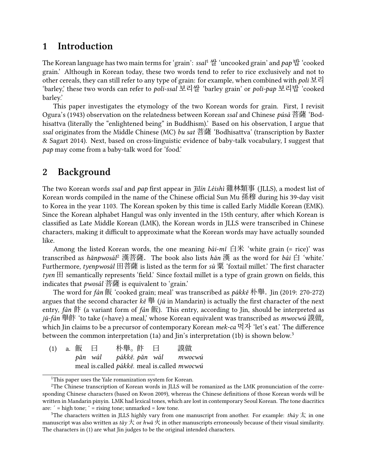### **1 Introduction**

The Korean language has two main terms for 'grain': *ssal*<sup>1</sup> 쌀 'uncooked grain' and *pap* 밥 'cooked grain.' Although in Korean today, these two words tend to refer to rice exclusively and not to other cereals, they can still refer to any type of grain: for example, when combined with *poli* 보리 'barley,' these two words can refer to *poli-ssal* 보리쌀 'barley grain' or *poli-pap* 보리밥 'cooked barley.'

This paper investigates the etymology of the two Korean words for grain. First, I revisit Ogura's (1943) observation on the relatedness between Korean *ssal* and Chinese *púsà* 菩薩 'Bodhisattva (literally the "enlightened being" in Buddhism).' Based on his observation, I argue that *ssal* originates from the Middle Chinese (MC) *bu sat* 菩薩 'Bodhisattva' (transcription by Baxter & Sagart 2014). Next, based on cross-linguistic evidence of baby-talk vocabulary, I suggest that *pap* may come from a baby-talk word for 'food.'

## **2 Background**

The two Korean words *ssal* and *pap* first appear in *Jīlín Lèishì* 雞林類事 (JLLS), a modest list of Korean words compiled in the name of the Chinese official Sun Mu 孫穆 during his 39-day visit to Korea in the year 1103. The Korean spoken by this time is called Early Middle Korean (EMK). Since the Korean alphabet Hangul was only invented in the 15th century, after which Korean is classified as Late Middle Korean (LMK), the Korean words in JLLS were transcribed in Chinese characters, making it difficult to approximate what the Korean words may have actually sounded like.

Among the listed Korean words, the one meaning  $b\acute{a}i$ -mi  $\dot{\Box}$  \* white grain (= rice)' was transcribed as *hǎnpwosál*<sup>2</sup> 漢菩薩. The book also lists *hǎn* 漢 as the word for *bái* 白 'white.' Furthermore, *tyenpwosál* 田菩薩 is listed as the term for *sù* 粟 'foxtail millet.' The first character *tyen*  $\boxplus$  semantically represents 'field.' Since foxtail millet is a type of grain grown on fields, this indicates that *pwosál* 菩薩 is equivalent to 'grain.'

The word for *fàn* 飯 'cooked grain; meal' was transcribed as *pákkě* 朴舉. Jin (2019: 270-272) argues that the second character *kě* 舉 (*jǔ* in Mandarin) is actually the first character of the next entry, *fàn* 飰 (a variant form of *fàn* 飯). This entry, according to Jin, should be interpreted as *jǔ-fàn* 舉飰 'to take (=have) a meal,' whose Korean equivalent was transcribed as *mwocwú* 謨做, which Jin claims to be a precursor of contemporary Korean *mek-ca* 먹자 'let's eat.' The difference between the common interpretation (1a) and Jin's interpretation (1b) is shown below.<sup>3</sup>

|  | (1) a. 飯 曰 | 朴舉。飰 曰 |  | 謨做                                          |
|--|------------|--------|--|---------------------------------------------|
|  |            |        |  | păn wál — pákkě păn wál — mwocwú            |
|  |            |        |  | meal is.called pákkě. meal is.called mwocwú |

<sup>&</sup>lt;sup>1</sup>This paper uses the Yale romanization system for Korean.

<sup>2</sup>The Chinese transcription of Korean words in JLLS will be romanized as the LMK pronunciation of the corresponding Chinese characters (based on Kwon 2009), whereas the Chinese definitions of those Korean words will be written in Mandarin pinyin. LMK had lexical tones, which are lost in contemporary Seoul Korean. The tone diacritics are:  $\acute{i}$  = high tone;  $\acute{i}$  = rising tone; unmarked = low tone.

<sup>&</sup>lt;sup>3</sup>The characters written in JLLS highly vary from one manuscript from another. For example: *tháy*  $\pm$  in one manuscript was also written as *tǎy* 大 or *hwǎ* 火 in other manuscripts erroneously because of their visual similarity. The characters in (1) are what Jin judges to be the original intended characters.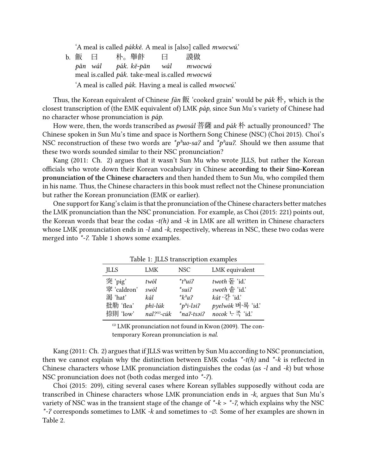'A meal is called *pákkě*. A meal is [also] called *mwocwú*.'

b. 飯 *pǎn wál* meal is.called *pák*. take-meal is.called *mwocwú* 曰 朴。舉飰 *pák. kě-pǎn* 曰 *wál* 謨做 *mwocwú* 'A meal is called *pák*. Having a meal is called *mwocwú*.'

Thus, the Korean equivalent of Chinese *fàn* 飯 'cooked grain' would be *pák* 朴, which is the closest transcription of (the EMK equivalent of) LMK *páp*, since Sun Mu's variety of Chinese had no character whose pronunciation is *páp*.

How were, then, the words transcribed as *pwosál* 菩薩 and *pák* 朴 actually pronounced? The Chinese spoken in Sun Mu's time and space is Northern Song Chinese (NSC) (Choi 2015). Choi's NSC reconstruction of these two words are *\*pʰuo-saʔ* and *\*pʰauʔ*. Should we then assume that these two words sounded similar to their NSC pronunciation?

Kang (2011: Ch. 2) argues that it wasn't Sun Mu who wrote JLLS, but rather the Korean officials who wrote down their Korean vocabulary in Chinese **according to their Sino-Korean pronunciation of the Chinese characters** and then handed them to Sun Mu, who compiled them in his name. Thus, the Chinese characters in this book must reflect not the Chinese pronunciation but rather the Korean pronunciation (EMK or earlier).

One support for Kang's claim is that the pronunciation of the Chinese characters better matches the LMK pronunciation than the NSC pronunciation. For example, as Choi (2015: 221) points out, the Korean words that bear the codas *-t(h)* and *-k* in LMK are all written in Chinese characters whose LMK pronunciation ends in *-l* and *-k*, respectively, whereas in NSC, these two codas were merged into *\*-ʔ*. Table 1 shows some examples.

| Table 1. JEES traffscription examples |                   |                          |                            |  |  |  |
|---------------------------------------|-------------------|--------------------------|----------------------------|--|--|--|
| <b>ILLS</b>                           | LMK               | <b>NSC</b>               | LMK equivalent             |  |  |  |
| 突'pig'                                | twól              | $*_{t}$ <sup>*</sup> ui? | twoth $\Xi$ 'id.'          |  |  |  |
| 窣 'caldron'                           | swól              | $*suit$                  | swoth 솥 'id.'              |  |  |  |
| 渴 'hat'                               | kál               | $*_{k^h a}$ ?            | $k\acute{a}t \cdot 7$ 'id' |  |  |  |
| 批勒 'flea'                             | phĭ-lúk           | $*_{p^h i-lə i?}$        | pyelwók 벼·록 'id.'          |  |  |  |
| 捺則 'low'                              | $nal?^{(i)}-c$ úk | $*na$ ?-tsəi $?$         | nocok 느죽 'id.'             |  |  |  |

Table 1: JLLC transcription examples

 $\overset{\text{(i)}}{ }$  LMK pronunciation not found in Kwon (2009). The contemporary Korean pronunciation is *nal*.

Kang (2011: Ch. 2) argues that if JLLS was written by Sun Mu according to NSC pronunciation, then we cannot explain why the distinction between EMK codas *\*-t(h)* and *\*-k* is reflected in Chinese characters whose LMK pronunciation distinguishes the codas (as *-l* and *-k*) but whose NSC pronunciation does not (both codas merged into *\*-ʔ*).

Choi (2015: 209), citing several cases where Korean syllables supposedly without coda are transcribed in Chinese characters whose LMK pronunciation ends in *-k*, argues that Sun Mu's variety of NSC was in the transient stage of the change of  $*k > *2$ , which explains why the NSC *\*-ʔ* corresponds sometimes to LMK *-k* and sometimes to *-∅*. Some of her examples are shown in Table 2.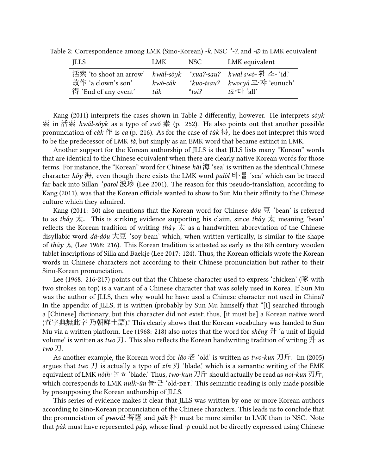Table 2: Correspondence among LMK (Sino-Korean) *-k*, NSC *\*-ʔ*, and *-∅* in LMK equivalent

| JLLS                                                                                                           | LMK              | NSC.     | LMK equivalent                                                                                  |
|----------------------------------------------------------------------------------------------------------------|------------------|----------|-------------------------------------------------------------------------------------------------|
| 活索 'to shoot an arrow' hwal-soyk *xua?-sau? hwal swo- 활 소- 'id.'<br>故作 'a clown's son'<br>得 'End of any event' | kwó-cák<br>túk – | $*$ təi? | *kuo-tsau? kwocyá $\exists \exists \exists$ r $\forall$ i 'eunuch'<br>$t\check{a}:\vdash$ 'all' |

Kang (2011) interprets the cases shown in Table 2 differently, however. He interprets *sóyk* 索 in 活索 *hwál-sóyk* as a typo of *swǒ* 素 (p. 252). He also points out that another possible pronunciation of *cák* 作 is *ca* (p. 216). As for the case of *túk* 得, he does not interpret this word to be the predecessor of LMK *tǎ*, but simply as an EMK word that became extinct in LMK.

Another support for the Korean authorship of JLLS is that JLLS lists many "Korean" words that are identical to the Chinese equivalent when there are clearly native Korean words for those terms. For instance, the "Korean" word for Chinese *hǎi* 海 'sea' is written as the identical Chinese character *hǒy* 海, even though there exists the LMK word *palól* 바〮ᄅᆞᆯ 'sea' which can be traced far back into Sillan *\*patol* 波珍 (Lee 2001). The reason for this pseudo-translation, according to Kang (2011), was that the Korean officials wanted to show to Sun Mu their affinity to the Chinese culture which they admired.

Kang (2011: 30) also mentions that the Korean word for Chinese *dòu* 豆 'bean' is referred to as *tháy* 太. This is striking evidence supporting his claim, since *tháy* 太 meaning 'bean' reflects the Korean tradition of writing *tháy*  $\overline{\mathcal{K}}$  as a handwritten abbreviation of the Chinese disyllabic word *dà-dòu* 大豆 'soy bean' which, when written vertically, is similar to the shape of *tháy* 太 (Lee 1968: 216). This Korean tradition is attested as early as the 8th century wooden tablet inscriptions of Silla and Baekje (Lee 2017: 124). Thus, the Korean officials wrote the Korean words in Chinese characters not according to their Chinese pronunciation but rather to their Sino-Korean pronunciation.

Lee (1968: 216-217) points out that the Chinese character used to express 'chicken' (啄 with two strokes on top) is a variant of a Chinese character that was solely used in Korea. If Sun Mu was the author of JLLS, then why would he have used a Chinese character not used in China? In the appendix of JLLS, it is written (probably by Sun Mu himself) that "[I] searched through a [Chinese] dictionary, but this character did not exist; thus, [it must be] a Korean native word (查字典無此字 乃朝鮮土語)." This clearly shows that the Korean vocabulary was handed to Sun Mu via a written platform. Lee (1968: 218) also notes that the word for *shēng* 升 'a unit of liquid volume' is written as *two* 刀. This also reflects the Korean handwriting tradition of writing 升 as *two* 刀.

As another example, the Korean word for *lǎo* 老 'old' is written as *two-kun* 刀斤. Im (2005) argues that *two* 刀 is actually a typo of  $z$ *in* 刃 'blade,' which is a semantic writing of the EMK equivalent of LMK *nólh* 〮ᄂᆞᆯᄒ 'blade.' Thus, *two-kun* 刀斤 should actually be read as *nol-kun* 刃斤, which corresponds to LMK *nulk-un* 늘 근 'old-DET.' This semantic reading is only made possible by presupposing the Korean authorship of JLLS.

This series of evidence makes it clear that JLLS was written by one or more Korean authors according to Sino-Korean pronunciation of the Chinese characters. This leads us to conclude that the pronunciation of *pwosál* 菩薩 and *pák* 朴 must be more similar to LMK than to NSC. Note that *pák* must have represented *páp*, whose final *-p* could not be directly expressed using Chinese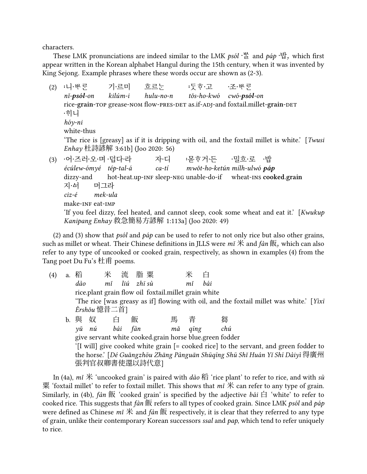characters.

These LMK pronunciations are indeed similar to the LMK *psól* · 뽈 and *páp* ·밥, which first appear written in the Korean alphabet Hangul during the 15th century, when it was invented by King Sejong. Example phrases where these words occur are shown as (2-3).

 $(2)$  :니·뱃른 *nǐ-psól-on* rice-**grain**-top grease-nom flow-pres-det as.if-adj-and foxtail.millet-**grain**-det 기·르미 *kilúm-i* 흐르ᄂᆞᆫ *hulu-no-n* :두ㅎ·고 *tǒs-ho-kwó cwó-psól-on* ·조·백루 〮니 *hóy-ni* white-thus 'The rice is [greasy] as if it is dripping with oil, and the foxtail millet is white.' [*Twusi Enhay* 杜詩諺解 3:61b] (Joo 2020: 56) (3) ·어·즈러·오·며·덥다·라 *écúlew-ómyé tép-tal-á* dizzy-and hot-heat.up-inf sleep-neg unable-do-if wheat-ins **cooked.grain** 자니 *ca-tí* :몯ㅎ거·든 ·밀흐·로 ·밥 *mwǒt-ho-ketún mílh-ulwó páp* 지·서 *ciz-é* 머그라 *mek-ula*

make-in<mark>f</mark> eat-imp

'If you feel dizzy, feel heated, and cannot sleep, cook some wheat and eat it.' [*Kwukup Kanipang Enhay* 救急簡易方諺解 1:113a] (Joo 2020: 49)

(2) and (3) show that *psól* and *páp* can be used to refer to not only rice but also other grains, such as millet or wheat. Their Chinese definitions in JLLS were *mǐ* 米 and *fàn* 飯, which can also refer to any type of uncooked or cooked grain, respectively, as shown in examples (4) from the Tang poet Du Fu's 杜甫 poems.

| (4) | a. | 稻                                                                             | 米            |   | 流 脂粟                                                    |     | 米          | 白   |                                                                                          |
|-----|----|-------------------------------------------------------------------------------|--------------|---|---------------------------------------------------------|-----|------------|-----|------------------------------------------------------------------------------------------|
|     |    | dào                                                                           |              |   | mǐ liú zhī sù                                           |     | mĭ         | bái |                                                                                          |
|     |    |                                                                               |              |   | rice.plant grain flow oil foxtail.millet grain white    |     |            |     |                                                                                          |
|     |    |                                                                               |              |   |                                                         |     |            |     | 'The rice [was greasy as if] flowing with oil, and the foxtail millet was white.' [Yixi] |
|     |    |                                                                               | Èrshǒu 憶昔二首] |   |                                                         |     |            |     |                                                                                          |
|     | b. | 與奴                                                                            |              | 白 | 飯                                                       | 馬 青 |            |     | 芻                                                                                        |
|     |    | $\nu \check{u}$                                                               | nú bái fàn   |   |                                                         | mă  | $q\bar{u}$ |     | chú                                                                                      |
|     |    |                                                                               |              |   | give servant white cooked.grain horse blue.green fodder |     |            |     |                                                                                          |
|     |    |                                                                               |              |   |                                                         |     |            |     | '[I will] give cooked white grain [= cooked rice] to the servant, and green fodder to    |
|     |    | the horse.' [Dé Guǎngzhōu Zhāng Pànguān Shūqīng Shū Shǐ Huán Yǐ Shī Dàiyì 得廣州 |              |   |                                                         |     |            |     |                                                                                          |
|     |    |                                                                               |              |   | 張判官叔卿書使還以詩代意]                                           |     |            |     |                                                                                          |

In (4a), *mǐ* 米 'uncooked grain' is paired with *dào* 稻 'rice plant' to refer to rice, and with *sù* 栗 'foxtail millet' to refer to foxtail millet. This shows that  $m\tilde{t}$  an refer to any type of grain. Similarly, in (4b), *fàn* 飯 'cooked grain' is specified by the adjective *bái* 白 'white' to refer to cooked rice. This suggests that *fàn* 飯 refers to all types of cooked grain. Since LMK *psól* and *páp* were defined as Chinese *mǐ* 米 and *fàn* 飯 respectively, it is clear that they referred to any type of grain, unlike their contemporary Korean successors *ssal* and *pap*, which tend to refer uniquely to rice.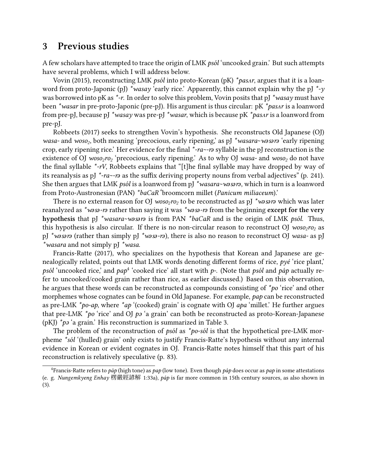#### **3 Previous studies**

A few scholars have attempted to trace the origin of LMK *psól* 'uncooked grain.' But such attempts have several problems, which I will address below.

Vovin (2015), reconstructing LMK *psól* into proto-Korean (pK) *\*pasʌr*, argues that it is a loanword from proto-Japonic (pJ) *\*wasay* 'early rice.' Apparently, this cannot explain why the pJ *\**-y was borrowed into pK as *\*-r*. In order to solve this problem, Vovin posits that pJ *\*wasay* must have been *\*wasar* in pre-proto-Japonic (pre-pJ). His argument is thus circular: pK *\*pasʌr* is a loanword from pre-pJ, because pJ *\*wasay* was pre-pJ *\*wasar*, which is because pK *\*pasʌr* is a loanword from pre-pJ.

Robbeets (2017) seeks to strengthen Vovin's hypothesis. She reconstructs Old Japanese (OJ) wasa- and woso<sub>2</sub>, both meaning 'precocious, early ripening,' as pJ \*wasara~wasara 'early ripening crop, early ripening rice.' Her evidence for the final *\*-ra~-rǝ* syllable in the pJ reconstruction is the existence of OJ *woso2ro<sup>2</sup>* 'precocious, early ripening.' As to why OJ *wasa-* and *woso<sup>2</sup>* do not have the final syllable *\*-rV*, Robbeets explains that "[t]he final syllable may have dropped by way of its reanalysis as pJ *\*-ra~-rǝ* as the suffix deriving property nouns from verbal adjectives" (p. 241). She then argues that LMK *psól* is a loanword from pJ \*wasara~wasara, which in turn is a loanword from Proto-Austronesian (PAN) *\*baCaR* 'broomcorn millet (*Panicum miliaceum*).'

There is no external reason for OJ *woso2ro<sup>2</sup>* to be reconstructed as pJ *\*wǝsǝrǝ* which was later reanalyzed as *\*wǝsǝ-r*ǝ rather than saying it was *\*wǝsǝ-r*ǝ from the beginning **except for the very hypothesis** that pJ *\*wasara~wǝsǝrǝ* is from PAN *\*baCaR* and is the origin of LMK *psól*. Thus, this hypothesis is also circular. If there is no non-circular reason to reconstruct OJ *woso2ro<sup>2</sup>* as pJ *\*wǝsǝrǝ* (rather than simply pJ *\*wǝsǝ-rǝ*), there is also no reason to reconstruct OJ *wasa-* as pJ *\*wasara* and not simply pJ *\*wasa*.

Francis-Ratte (2017), who specializes on the hypothesis that Korean and Japanese are genealogically related, points out that LMK words denoting different forms of rice, *pyé* 'rice plant,' *psól* 'uncooked rice,' and *pap*<sup>4</sup> 'cooked rice' all start with *p-*. (Note that *psól* and *páp* actually refer to uncooked/cooked grain rather than rice, as earlier discussed.) Based on this observation, he argues that these words can be reconstructed as compounds consisting of *\*po* 'rice' and other morphemes whose cognates can be found in Old Japanese. For example, *pap* can be reconstructed as pre-LMK *\*po-ap*, where *\*ap* '(cooked) grain' is cognate with OJ *apa* 'millet.' He further argues that pre-LMK *\*po* 'rice' and OJ *pə* 'a grain' can both be reconstructed as proto-Korean-Japanese (pKJ) *\*pə* 'a grain.' His reconstruction is summarized in Table 3.

The problem of the reconstruction of *psól* as *\*po-sól* is that the hypothetical pre-LMK morpheme *\*sól* '(hulled) grain' only exists to justify Francis-Ratte's hypothesis without any internal evidence in Korean or evident cognates in OJ. Francis-Ratte notes himself that this part of his reconstruction is relatively speculative (p. 83).

<sup>4</sup>Francis-Ratte refers to *páp* (high tone) as *pap* (low tone). Even though *páp* does occur as *pap* in some attestations (e. g. *Nungemkyeng Enhay* 楞嚴經諺解 1:33a), *páp* is far more common in 15th century sources, as also shown in (3).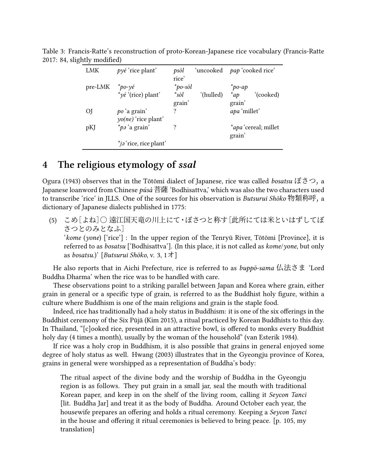| LMK                       | $p\gamma e$ 'rice plant'    | psól<br>rice' | 'uncooked <i>pap</i> 'cooked rice' |              |                             |
|---------------------------|-----------------------------|---------------|------------------------------------|--------------|-----------------------------|
| pre-LMK $*_{po-\gamma e}$ |                             | *po-sól       |                                    | $\ast$ po-ap |                             |
|                           | $*_y$ é '(rice) plant'      | *sól          | (hulled)                           | $*_{ap}$     | '(cooked)                   |
|                           |                             | grain'        |                                    | grain'       |                             |
| OJ.                       | po 'a grain'                |               |                                    | apa 'millet' |                             |
|                           | $\gamma$ o(ne) 'rice plant' |               |                                    |              |                             |
| pKJ                       | <i>*pa</i> 'a grain'        |               |                                    |              | <i>*apa</i> 'cereal; millet |
|                           |                             |               |                                    | grain'       |                             |
|                           | *ja 'rice, rice plant'      |               |                                    |              |                             |

Table 3: Francis-Ratte's reconstruction of proto-Korean-Japanese rice vocabulary (Francis-Ratte 2017: 84, slightly modified)

### **4 The religious etymology of** *ssal*

Ogura (1943) observes that in the Tōtōmi dialect of Japanese, rice was called *bosatsu* ぼさつ, a Japanese loanword from Chinese *púsà* 菩薩 'Bodhisattva,' which was also the two characters used to transcribe 'rice' in JLLS. One of the sources for his observation is *Butsurui Shōko* 物類称呼, a dictionary of Japanese dialects published in 1775:

(5) こめ[よね]○ 遠江国天竜の川上にて・ぼさつと称す[此所にては米といはずしてぼ さつとのみとなふ]

'*kome* (*yone*) ['rice'] : In the upper region of the Tenryū River, Tōtōmi [Province], it is referred to as *bosatsu* ['Bodhisattva']. (In this place, it is not called as *kome*/*yone*, but only as *bosatsu*.)' [*Butsurui Shōko*, v. 3, 1オ]

He also reports that in Aichi Prefecture, rice is referred to as *buppō-sama* 仏法さま 'Lord Buddha Dharma' when the rice was to be handled with care.

These observations point to a striking parallel between Japan and Korea where grain, either grain in general or a specific type of grain, is referred to as the Buddhist holy figure, within a culture where Buddhism is one of the main religions and grain is the staple food.

Indeed, rice has traditionally had a holy status in Buddhism: it is one of the six offerings in the Buddhist ceremony of the Six Pūjā (Kim 2015), a ritual practiced by Korean Buddhists to this day. In Thailand, "[c]ooked rice, presented in an attractive bowl, is offered to monks every Buddhist holy day (4 times a month), usually by the woman of the household" (van Esterik 1984).

If rice was a holy crop in Buddhism, it is also possible that grains in general enjoyed some degree of holy status as well. Hwang (2003) illustrates that in the Gyeongju province of Korea, grains in general were worshipped as a representation of Buddha's body:

The ritual aspect of the divine body and the worship of Buddha in the Gyeongju region is as follows. They put grain in a small jar, seal the mouth with traditional Korean paper, and keep in on the shelf of the living room, calling it *Seycon Tanci* [lit. Buddha Jar] and treat it as the body of Buddha. Around October each year, the housewife prepares an offering and holds a ritual ceremony. Keeping a *Seycon Tanci* in the house and offering it ritual ceremonies is believed to bring peace. [p. 105, my translation]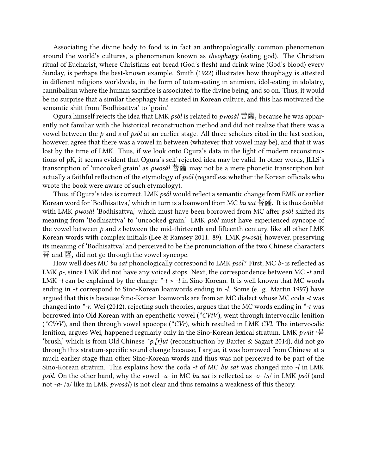Associating the divine body to food is in fact an anthropologically common phenomenon around the world's cultures, a phenomenon known as *theophagy* (eating god). The Christian ritual of Eucharist, where Christians eat bread (God's flesh) and drink wine (God's blood) every Sunday, is perhaps the best-known example. Smith (1922) illustrates how theophagy is attested in different religions worldwide, in the form of totem-eating in animism, idol-eating in idolatry, cannibalism where the human sacrifice is associated to the divine being, and so on. Thus, it would be no surprise that a similar theophagy has existed in Korean culture, and this has motivated the semantic shift from 'Bodhisattva' to 'grain.'

Ogura himself rejects the idea that LMK *psól* is related to *pwosál* 菩薩, because he was apparently not familiar with the historical reconstruction method and did not realize that there was a vowel between the *p* and *s* of *psól* at an earlier stage. All three scholars cited in the last section, however, agree that there was a vowel in between (whatever that vowel may be), and that it was lost by the time of LMK. Thus, if we look onto Ogura's data in the light of modern reconstructions of pK, it seems evident that Ogura's self-rejected idea may be valid. In other words, JLLS's transcription of 'uncooked grain' as *pwosál* 菩薩 may not be a mere phonetic transcription but actually a faithful reflection of the etymology of *psól* (regardless whether the Korean officials who wrote the book were aware of such etymology).

Thus, if Ogura's idea is correct, LMK *psól* would reflect a semantic change from EMK or earlier Korean word for 'Bodhisattva,' which in turn is a loanword from MC *bu sat* 菩薩. It is thus doublet with LMK *pwosál* 'Bodhisattva,' which must have been borrowed from MC after *psól* shifted its meaning from 'Bodhisattva' to 'uncooked grain.' LMK *psól* must have experienced syncope of the vowel between *p* and *s* between the mid-thirteenth and fifteenth century, like all other LMK Korean words with complex initials (Lee & Ramsey 2011: 89). LMK *pwosál*, however, preserving its meaning of 'Bodhisattva' and perceived to be the pronunciation of the two Chinese characters 菩 and 薩, did not go through the vowel syncope.

How well does MC *bu sat* phonologically correspond to LMK *psól*? First, MC *b-* is reflected as LMK *p-*, since LMK did not have any voiced stops. Next, the correspondence between MC *-t* and LMK *-l* can be explained by the change *\*-t* > *-l* in Sino-Korean. It is well known that MC words ending in *-t* correspond to Sino-Korean loanwords ending in *-l*. Some (e. g. Martin 1997) have argued that this is because Sino-Korean loanwords are from an MC dialect whose MC coda *-t* was changed into *\*-r*. Wei (2012), rejecting such theories, argues that the MC words ending in *\*-t* was borrowed into Old Korean with an epenthetic vowel (*\*CVtV*), went through intervocalic lenition (*\*CVrV*), and then through vowel apocope (*\*CVr*), which resulted in LMK *CVl*. The intervocalic lenition, argues Wei, happened regularly only in the Sino-Korean lexical stratum. LMK *pwút* '붇 'brush,' which is from Old Chinese *\*p.[r]ut* (reconstruction by Baxter & Sagart 2014), did not go through this stratum-specific sound change because, I argue, it was borrowed from Chinese at a much earlier stage than other Sino-Korean words and thus was not perceived to be part of the Sino-Korean stratum. This explains how the coda *-t* of MC *bu sat* was changed into *-l* in LMK *psól*. On the other hand, why the vowel *-a-* in MC *bu sat* is reflected as *-o-* /ʌ/ in LMK *psól* (and not *-a-* /a/ like in LMK *pwosál*) is not clear and thus remains a weakness of this theory.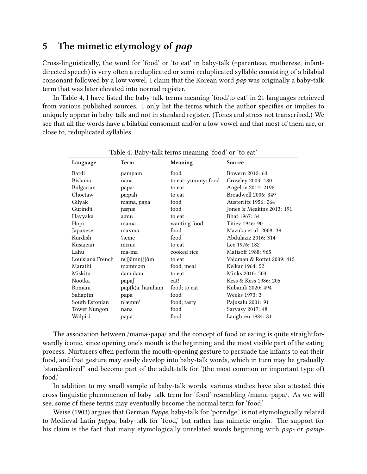### **5 The mimetic etymology of** *pap*

Cross-linguistically, the word for 'food' or 'to eat' in baby-talk (=parentese, motherese, infantdirected speech) is very often a reduplicated or semi-reduplicated syllable consisting of a bilabial consonant followed by a low vowel. I claim that the Korean word *pap* was originally a baby-talk term that was later elevated into normal register.

In Table 4, I have listed the baby-talk terms meaning 'food/to eat' in 21 languages retrieved from various published sources. I only list the terms which the author specifies or implies to uniquely appear in baby-talk and not in standard register. (Tones and stress not transcribed.) We see that all the words have a bilabial consonant and/or a low vowel and that most of them are, or close to, reduplicated syllables.

| Language            | Term                | Meaning             | Source                     |
|---------------------|---------------------|---------------------|----------------------------|
| Bardi               | namnam              | food                | Bowern 2012: 63            |
| Bislama             | nana                | to eat; yummy; food | Crowley 2003: 180          |
| Bulgarian           | papa-               | to eat              | Angelov 2014: 2196         |
| Choctaw             | pa:pah              | to eat              | Broadwell 2006: 349        |
| Gilyak              | mama, nana          | food                | Austerlitz 1956: 264       |
| Gurindji            | nænæ                | food                | Jones & Meakins 2013: 191  |
| Havyaka             | a:mu                | to eat              | Bhat 1967: 34              |
| Hopi                | mama                | wanting food        | Titiev 1946: 90            |
| Japanese            | manma               | food                | Mazuka et al. 2008: 39     |
| Kurdish             | Sæme                | food                | Abdulaziz 2016: 314        |
| Kusaiean            | meme                | to eat              | Lee 1976: 182              |
| Lahu                | ma-ma               | cooked rice         | Matisoff 1988: 965         |
| Louisiana French    | $n(j)$ ãm $n(j)$ ãm | to eat              | Valdman & Rottet 2009: 415 |
| Marathi             | məmməm              | food, meal          | Kelkar 1964: 52            |
| Miskitu             | dam dam             | to eat              | Minks 2010: 504            |
| Nootka              | papa∫               | eat!                | Kess & Kess 1986: 205      |
| Romani              | pap(k)a, hamham     | food; to eat        | Kubaník 2020: 494          |
| Sahaptin            | papa                | food                | Weeks 1973: 3              |
| South Estonian      | $n^{j}$ æmm $^{j}$  | food; tasty         | Pajusalu 2001: 91          |
| <b>Towet Nungon</b> | nana                | food                | Sarvasy 2017: 48           |
| Walpiri             | nana                | food                | Laughren 1984: 81          |

Table 4: Baby-talk terms meaning 'food' or 'to eat'

The association between /mama~papa/ and the concept of food or eating is quite straightforwardly iconic, since opening one's mouth is the beginning and the most visible part of the eating process. Nurturers often perform the mouth-opening gesture to persuade the infants to eat their food, and that gesture may easily develop into baby-talk words, which in turn may be gradually "standardized" and become part of the adult-talk for '(the most common or important type of) food.'

In addition to my small sample of baby-talk words, various studies have also attested this cross-linguistic phenomenon of baby-talk term for 'food' resembling /mama~papa/. As we will see, some of these terms may eventually become the normal term for 'food.'

Weise (1903) argues that German *Pappe*, baby-talk for 'porridge,' is not etymologically related to Medieval Latin *pappa*, baby-talk for 'food,' but rather has mimetic origin. The support for his claim is the fact that many etymologically unrelated words beginning with *pap-* or *pamp-*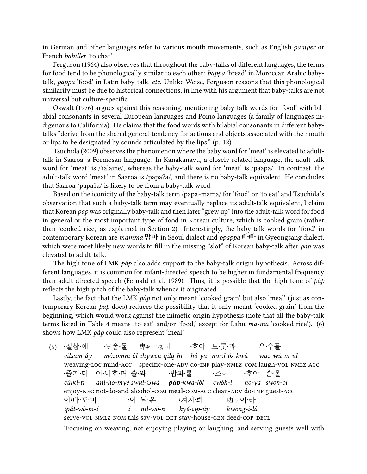in German and other languages refer to various mouth movements, such as English *pamper* or French *babiller* 'to chat.'

Ferguson (1964) also observes that throughout the baby-talks of different languages, the terms for food tend to be phonologically similar to each other: *bappa* 'bread' in Moroccan Arabic babytalk, *pappa* 'food' in Latin baby-talk, *etc*. Unlike Weise, Ferguson reasons that this phonological similarity must be due to historical connections, in line with his argument that baby-talks are not universal but culture-specific.

Oswalt (1976) argues against this reasoning, mentioning baby-talk words for 'food' with bilabial consonants in several European languages and Pomo languages (a family of languages indigenous to California). He claims that the food words with bilabial consonants in different babytalks "derive from the shared general tendency for actions and objects associated with the mouth or lips to be designated by sounds articulated by the lips." (p. 12)

Tsuchida (2009) observes the phenomenon where the baby word for 'meat' is elevated to adulttalk in Saaroa, a Formosan language. In Kanakanavu, a closely related language, the adult-talk word for 'meat' is /ʔalame/, whereas the baby-talk word for 'meat' is /paapa/. In contrast, the adult-talk word 'meat' in Saaroa is /papaʔa/, and there is no baby-talk equivalent. He concludes that Saaroa /papaʔa/ is likely to be from a baby-talk word.

Based on the iconicity of the baby-talk term /papa~mama/ for 'food' or 'to eat' and Tsuchida's observation that such a baby-talk term may eventually replace its adult-talk equivalent, I claim that Korean *pap* was originally baby-talk and then later "grew up" into the adult-talk word for food in general or the most important type of food in Korean culture, which is cooked grain (rather than 'cooked rice,' as explained in Section 2). Interestingly, the baby-talk words for 'food' in contemporary Korean are *mamma* 맘마 in Seoul dialect and *ppappa* 빠빠 in Gyeongsang dialect, which were most likely new words to fill in the missing "slot" of Korean baby-talk after *páp* was elevated to adult-talk.

The high tone of LMK *páp* also adds support to the baby-talk origin hypothesis. Across different languages, it is common for infant-directed speech to be higher in fundamental frequency than adult-directed speech (Fernald et al. 1989). Thus, it is possible that the high tone of *páp* reflects the high pitch of the baby-talk whence it originated.

Lastly, the fact that the LMK *páp* not only meant 'cooked grain' but also 'meal' (just as contemporary Korean *pap* does) reduces the possibility that it only meant 'cooked grain' from the beginning, which would work against the mimetic origin hypothesis (note that all the baby-talk terms listed in Table 4 means 'to eat' and/or 'food,' except for Lahu *ma-ma* 'cooked rice'). (6) shows how LMK *páp* could also represent 'meal.'

(6) ∙질삼∙애 *cílsam-áy* weaving-loc mind-acc specific-one-adv do-inf play-nmlz-com laugh-vol-nmlz-acc ·ᄆᆞᅌᆠᆨᆞᄆᆞᆯ *mózomm-ól chywen-qílq-hi hó-ya nwol-ós-kwá* 專<sub>췬</sub>一。히 ·호야 노·룻·과 우·수믈 *wuz-wú-m-ul* ·즐기·디 *cúlki-tí* enjoy-NEG not-do-and alcohol-com meal-com-Acc clean-ADV do-INF guest-Acc 아니호며 술와 *aní-ho-myé swul-Gwá* ·밥과·롤 *páp-kwa-lól* 〮조히 *cwóh-i* ·호야 손·올 *hó-ya swon-ól* 이·바·도·미 *ipǎt-wó-m-í* serve-vol-nmlz-nom this say-vol-det stay-house-gen deed-cop-decl ·이 닐·온 *í nil-wó-n* :겨지·븨 *kyě-cip-úy* 功<sub>공</sub>·이·라 *kwong-í-lá*

'Focusing on weaving, not enjoying playing or laughing, and serving guests well with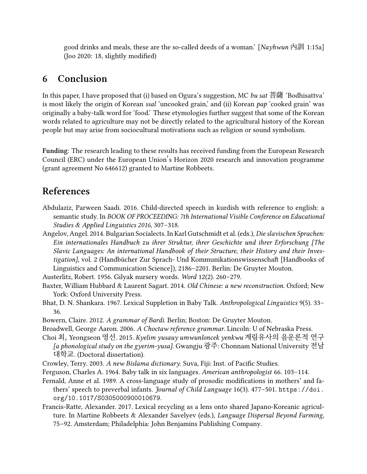good drinks and meals, these are the so-called deeds of a woman.' [*Nayhwun* 內訓 1:15a] (Joo 2020: 18, slightly modified)

# **6 Conclusion**

In this paper, I have proposed that (i) based on Ogura's suggestion, MC *bu sat* 菩薩 'Bodhisattva' is most likely the origin of Korean *ssal* 'uncooked grain,' and (ii) Korean *pap* 'cooked grain' was originally a baby-talk word for 'food.' These etymologies further suggest that some of the Korean words related to agriculture may not be directly related to the agricultural history of the Korean people but may arise from sociocultural motivations such as religion or sound symbolism.

**Funding:** The research leading to these results has received funding from the European Research Council (ERC) under the European Union's Horizon 2020 research and innovation programme (grant agreement No 646612) granted to Martine Robbeets.

# **References**

- Abdulaziz, Parween Saadi. 2016. Child-directed speech in kurdish with reference to english: a semantic study. In *BOOK OF PROCEEDING: 7th International Visible Conference on Educational Studies & Applied Linguistics 2016*, 307–318.
- Angelov, Angel. 2014. Bulgarian Socialects. In Karl Gutschmidt et al. (eds.), *Die slavischen Sprachen: Ein internationales Handbuch zu ihrer Struktur, ihrer Geschichte und ihrer Erforschung [The Slavic Languages: An international Handbook of their Structure, their History and their Investigation]*, vol. 2 (Handbücher Zur Sprach- Und Kommunikationswissenschaft [Handbooks of Linguistics and Communication Science]), 2186–2201. Berlin: De Gruyter Mouton.

Austerlitz, Robert. 1956. Gilyak nursery words. *Word* 12(2). 260–279.

- Baxter, William Hubbard & Laurent Sagart. 2014. *Old Chinese: a new reconstruction*. Oxford; New York: Oxford University Press.
- Bhat, D. N. Shankara. 1967. Lexical Suppletion in Baby Talk. *Anthropological Linguistics* 9(5). 33– 36.
- Bowern, Claire. 2012. *A grammar of Bardi*. Berlin; Boston: De Gruyter Mouton.
- Broadwell, George Aaron. 2006. *A Choctaw reference grammar*. Lincoln: U of Nebraska Press.
- Choi 최, Yeongseon 영선. 2015. *Kyelim yusauy umwunloncek yenkwu* 계림유사의 음운론적 연구 *[a phonological study on the gyerim-yusa]*. Gwangju 광주: Chonnam National University 전남 대학교. (Doctoral dissertation).
- Crowley, Terry. 2003. *A new Bislama dictionary*. Suva, Fiji: Inst. of Pacific Studies.
- Ferguson, Charles A. 1964. Baby talk in six languages. *American anthropologist* 66. 103–114.
- Fernald, Anne et al. 1989. A cross-language study of prosodic modifications in mothers' and fathers' speech to preverbal infants. *Journal of Child Language* 16(3). 477–501. https://doi. org/10.1017/S0305000900010679.
- Francis-Ratte, Alexander. 2017. Lexical recycling as a lens onto shared Japano-Koreanic agriculture. In Martine Robbeets & Alexander Savelyev (eds.), *Language Dispersal Beyond Farming*, 75–92. Amsterdam; Philadelphia: John Benjamins Publishing Company.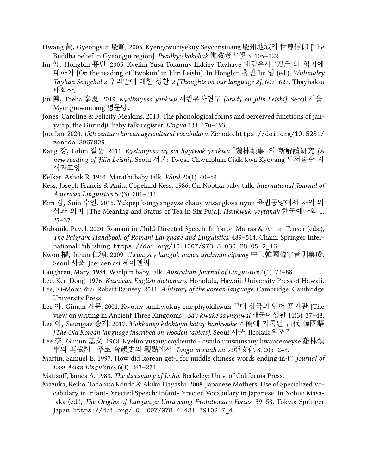- Hwang 黃, Gyeongsun 慶順. 2003. Kyengcwuciyekuy Seyconsinang 慶州地域의 世尊信仰 [The Buddha belief in Gyeongju region]. *Pwulkyo kokohak* 佛教考古學 3. 105–122.
- Im 임, Hongbin 홍빈. 2005. Kyelim Yusa Tokunuy Ilkkiey Tayhaye 계림유사 '刀斤'의 읽기에 대하여 [On the reading of 'twokun' in Jilin Leishi]. In Hongbin 홍빈 Im 임 (ed.), *Wulimaley Tayhan Sengchal 2* 우리말에 대한 성찰 *2 [Thoughts on our language 2]*, 607–627. Thayhaksa 태학사.
- Jin 陳, Taeha 泰夏. 2019. *Kyelimyusa yenkwu* 계림유사연구 *[Study on Jilin Leishi]*. Seoul 서울: Myengmwuntang 명문당.
- Jones, Caroline & Felicity Meakins. 2013. The phonological forms and perceived functions of janyarrp, the Gurindji 'baby talk'register. *Lingua* 134. 170–193.
- Joo, Ian. 2020. *15th century korean agricultural vocabulary*. Zenodo. https://doi.org/10.5281/ zenodo.3967829.
- Kang 강, Gilun 길운. 2011. *Kyelimyusa uy sin haytwok yenkwu*「鷄林類事」의 新解讀研究 *[A new reading of Jilin Leishi]*. Seoul 서울: Twose Chwulphan Cisik kwa Kyoyang 도서출판 지 식과교양.
- Kelkar, Ashok R. 1964. Marathi baby talk. *Word* 20(1). 40–54.
- Kess, Joseph Francis & Anita Copeland Kess. 1986. On Nootka baby talk. *International Journal of American Linguistics* 52(3). 201–211.
- Kim 김, Suin 수인. 2015. Yukpep kongyangeyse chauy wisangkwa uymi 육법공양에서 차의 위 상과 의미 [The Meaning and Status of Tea in Six Puja]. *Hankwuk yeytahak* 한국예다학 1. 27–37.
- Kubaník, Pavel. 2020. Romani in Child-Directed Speech. In Yaron Matras & Anton Tenser (eds.), *The Palgrave Handbook of Romani Language and Linguistics*, 489–514. Cham: Springer International Publishing. https://doi.org/10.1007/978-3-030-28105-2\_16.
- Kwon 權, Inhan 仁瀚. 2009. *Cwungsey hanguk hanca umhwun cipseng* 中世韓國韓字音訓集成. Seoul 서울: Jaei aen ssi 제이앤씨.
- Laughren, Mary. 1984. Warlpiri baby talk. *Australian Journal of Linguistics* 4(1). 73–88.
- Lee, Kee-Dong. 1976. *Kusaiean-English dictionary*. Honolulu, Hawaii: University Press of Hawaii.
- Lee, Ki-Moon & S. Robert Ramsey. 2011. *A history of the korean language*. Cambridge: Cambridge University Press.
- Lee 이, Gimun 기문. 2001. Kwotay samkwukuy ene phyokikwan 고대 삼국의 언어 표기관 [The view on writing in Ancient Three Kingdoms]. *Say kwuke saynghwal* 새국어생활 11(3). 37–48.
- Lee 이, Seungjae 승재. 2017. *Mokkaney kiloktoyn kotay hankwuke* 木簡에 기록된 古代 韓國語 *[The Old Korean language inscribed on wooden tablets]*. Seoul 서울: Ilcokak 일조각.
- Lee 李, Gimun 基文. 1968. Kyelim yusauy caykemto cwulo umwunsauy kwancemeyse 雞林類 事의 再檢討 - 주로 音韻史의 觀點에서. *Tonga mwunhwa* 東亞文化 8. 205–248.
- Martin, Samuel E. 1997. How did korean get-l for middle chinese words ending in-t? *Journal of East Asian Linguistics* 6(3). 263–271.
- Matisoff, James A. 1988. *The dictionary of Lahu*. Berkeley: Univ. of California Press.
- Mazuka, Reiko, Tadahisa Kondo & Akiko Hayashi. 2008. Japanese Mothers' Use of Specialized Vocabulary in Infant-Directed Speech: Infant-Directed Vocabulary in Japanese. In Nobuo Masataka (ed.), *The Origins of Language: Unraveling Evolutionary Forces*, 39–58. Tokyo: Springer Japan. https://doi.org/10.1007/978-4-431-79102-7\_4.